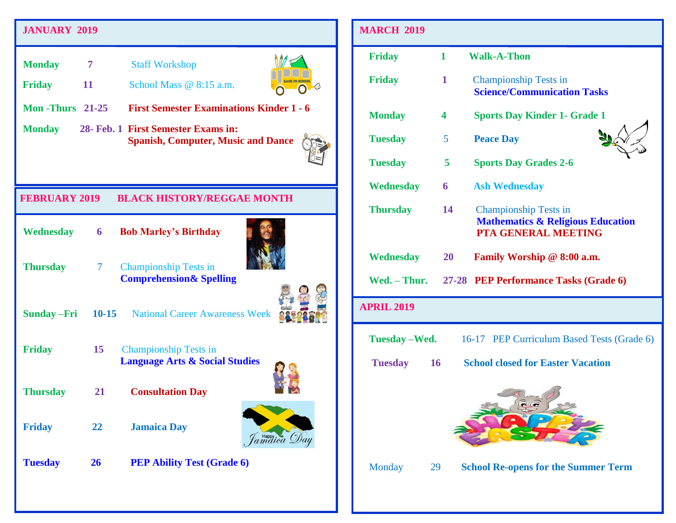## **JANUARY 2018 JANUARY 2019**

| <b>Monday</b>           | $\overline{7}$  | <b>Staff Workshop</b>                                                            |
|-------------------------|-----------------|----------------------------------------------------------------------------------|
| <b>Friday</b>           | 11              | School Mass $@ 8:15 a.m.$                                                        |
| <b>Mon</b> -Thurs 21-25 |                 | <b>First Semester Examinations Kinder 1 - 6</b>                                  |
| <b>Monday</b>           |                 | 28- Feb. 1 First Semester Exams in:<br><b>Spanish, Computer, Music and Dance</b> |
| <b>FEBRUARY 2019</b>    |                 | <b>BLACK HISTORY/REGGAE MONTH</b>                                                |
| Wednesday               | $6\overline{6}$ | <b>Bob Marley's Birthday</b>                                                     |
| <b>Thursday</b>         | $\tau$          | <b>Championship Tests in</b><br><b>Comprehension &amp; Spelling</b>              |
| <b>Sunday - Fri</b>     |                 | <b>10-15</b> National Career Awareness Week                                      |
| <b>Friday</b>           | 15              | <b>Championship Tests in</b><br><b>Language Arts &amp; Social Studies</b>        |
|                         |                 |                                                                                  |
| <b>Thursday</b>         | 21              | <b>Consultation Day</b>                                                          |
| <b>Friday</b>           | 22              | <b>Jamaica Day</b><br>amaica D                                                   |

| <b>MARCH 2019</b> |                         |                                                                                                            |
|-------------------|-------------------------|------------------------------------------------------------------------------------------------------------|
| <b>Friday</b>     | 1                       | <b>Walk-A-Thon</b>                                                                                         |
| <b>Friday</b>     | 1                       | <b>Championship Tests in</b><br><b>Science/Communication Tasks</b>                                         |
| <b>Monday</b>     | 4                       | <b>Sports Day Kinder 1- Grade 1</b>                                                                        |
| <b>Tuesday</b>    | 5                       | <b>Peace Day</b>                                                                                           |
| <b>Tuesday</b>    | 5                       | <b>Sports Day Grades 2-6</b>                                                                               |
| <b>Wednesday</b>  | $\overline{\mathbf{6}}$ | <b>Ash Wednesday</b>                                                                                       |
| <b>Thursday</b>   | 14                      | <b>Championship Tests in</b><br><b>Mathematics &amp; Religious Education</b><br><b>PTA GENERAL MEETING</b> |
| Wednesday         | 20                      | Family Worship @ 8:00 a.m.                                                                                 |
|                   |                         | Wed. - Thur. 27-28 PEP Performance Tasks (Grade 6)                                                         |
| <b>APRIL 2019</b> |                         |                                                                                                            |
|                   |                         | <b>Tuesday – Wed.</b> 16-17 PEP Curriculum Based Tests (Grade 6)                                           |
|                   |                         |                                                                                                            |
| Tuesday 16        |                         | <b>School closed for Easter Vacation</b>                                                                   |
|                   |                         |                                                                                                            |